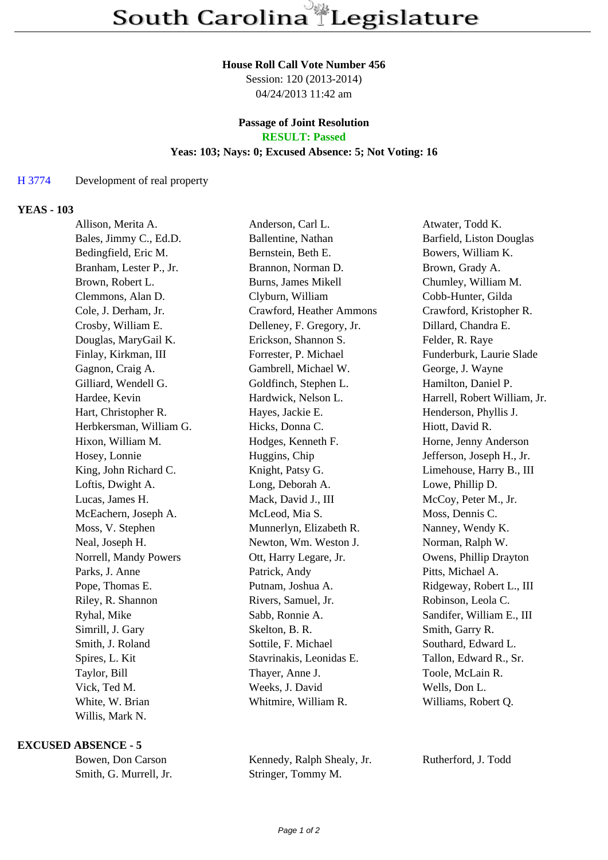#### **House Roll Call Vote Number 456**

Session: 120 (2013-2014) 04/24/2013 11:42 am

# **Passage of Joint Resolution**

**RESULT: Passed**

## **Yeas: 103; Nays: 0; Excused Absence: 5; Not Voting: 16**

## H 3774 Development of real property

#### **YEAS - 103**

| Allison, Merita A.      | Anderson, Carl L.          | Atwater, Todd K.             |
|-------------------------|----------------------------|------------------------------|
| Bales, Jimmy C., Ed.D.  | Ballentine, Nathan         | Barfield, Liston Douglas     |
| Bedingfield, Eric M.    | Bernstein, Beth E.         | Bowers, William K.           |
| Branham, Lester P., Jr. | Brannon, Norman D.         | Brown, Grady A.              |
| Brown, Robert L.        | <b>Burns, James Mikell</b> | Chumley, William M.          |
| Clemmons, Alan D.       | Clyburn, William           | Cobb-Hunter, Gilda           |
| Cole, J. Derham, Jr.    | Crawford, Heather Ammons   | Crawford, Kristopher R.      |
| Crosby, William E.      | Delleney, F. Gregory, Jr.  | Dillard, Chandra E.          |
| Douglas, MaryGail K.    | Erickson, Shannon S.       | Felder, R. Raye              |
| Finlay, Kirkman, III    | Forrester, P. Michael      | Funderburk, Laurie Slade     |
| Gagnon, Craig A.        | Gambrell, Michael W.       | George, J. Wayne             |
| Gilliard, Wendell G.    | Goldfinch, Stephen L.      | Hamilton, Daniel P.          |
| Hardee, Kevin           | Hardwick, Nelson L.        | Harrell, Robert William, Jr. |
| Hart, Christopher R.    | Hayes, Jackie E.           | Henderson, Phyllis J.        |
| Herbkersman, William G. | Hicks, Donna C.            | Hiott, David R.              |
| Hixon, William M.       | Hodges, Kenneth F.         | Horne, Jenny Anderson        |
| Hosey, Lonnie           | Huggins, Chip              | Jefferson, Joseph H., Jr.    |
| King, John Richard C.   | Knight, Patsy G.           | Limehouse, Harry B., III     |
| Loftis, Dwight A.       | Long, Deborah A.           | Lowe, Phillip D.             |
| Lucas, James H.         | Mack, David J., III        | McCoy, Peter M., Jr.         |
| McEachern, Joseph A.    | McLeod, Mia S.             | Moss, Dennis C.              |
| Moss, V. Stephen        | Munnerlyn, Elizabeth R.    | Nanney, Wendy K.             |
| Neal, Joseph H.         | Newton, Wm. Weston J.      | Norman, Ralph W.             |
| Norrell, Mandy Powers   | Ott, Harry Legare, Jr.     | Owens, Phillip Drayton       |
| Parks, J. Anne          | Patrick, Andy              | Pitts, Michael A.            |
| Pope, Thomas E.         | Putnam, Joshua A.          | Ridgeway, Robert L., III     |
| Riley, R. Shannon       | Rivers, Samuel, Jr.        | Robinson, Leola C.           |
| Ryhal, Mike             | Sabb, Ronnie A.            | Sandifer, William E., III    |
| Simrill, J. Gary        | Skelton, B. R.             | Smith, Garry R.              |
| Smith, J. Roland        | Sottile, F. Michael        | Southard, Edward L.          |
| Spires, L. Kit          | Stavrinakis, Leonidas E.   | Tallon, Edward R., Sr.       |
| Taylor, Bill            | Thayer, Anne J.            | Toole, McLain R.             |
| Vick, Ted M.            | Weeks, J. David            | Wells, Don L.                |
| White, W. Brian         | Whitmire, William R.       | Williams, Robert Q.          |
| Willis, Mark N.         |                            |                              |

#### **EXCUSED ABSENCE - 5**

| Bowen, Don Carson      |  |  |
|------------------------|--|--|
| Smith, G. Murrell, Jr. |  |  |

Kennedy, Ralph Shealy, Jr. Rutherford, J. Todd Stringer, Tommy M.